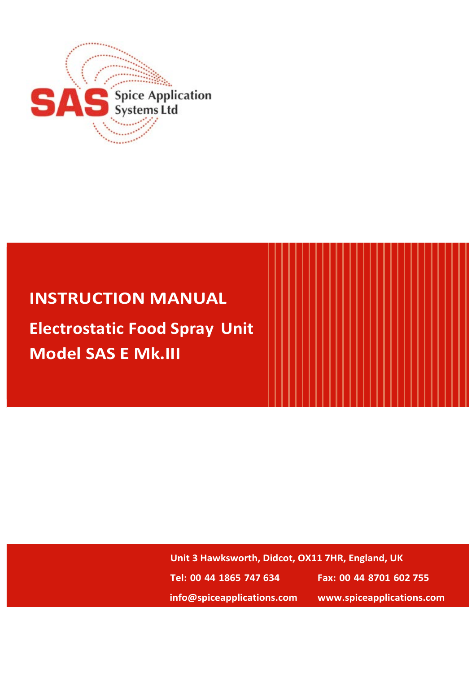

# **INSTRUCTION MANUAL**

**Electrostatic Food Spray Unit Model SAS E Mk.III**

> **Unit 3 Hawksworth, Didcot, OX11 7HR, England, UK Tel: 00 44 1865 747 634 Fax: 00 44 8701 602 755 info@spiceapplications.com www.spiceapplications.com**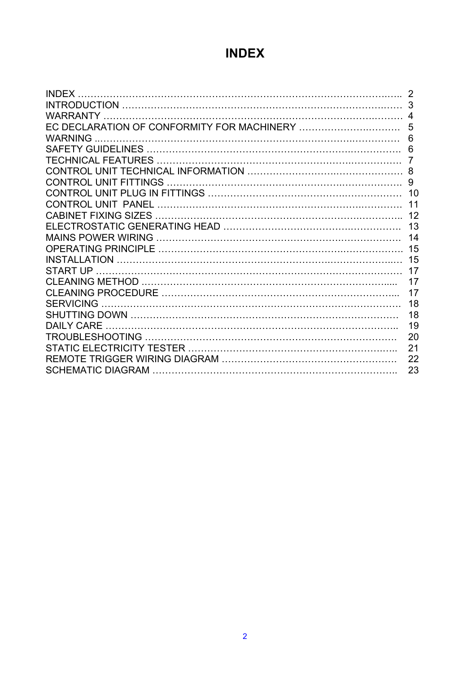## **INDEX**

| <b>INDEX</b>     |    |
|------------------|----|
|                  | 3  |
|                  |    |
|                  | 5  |
| WARNING          | 6  |
|                  | 6  |
|                  |    |
|                  |    |
|                  | 9  |
|                  |    |
|                  | 11 |
|                  | 12 |
|                  | 13 |
|                  | 14 |
|                  | 15 |
|                  | 15 |
|                  | 17 |
|                  | 17 |
|                  | 17 |
| <b>SERVICING</b> | 18 |
|                  | 18 |
| DAILY CARE       | 19 |
|                  | 20 |
|                  | 21 |
|                  | 22 |
|                  | 23 |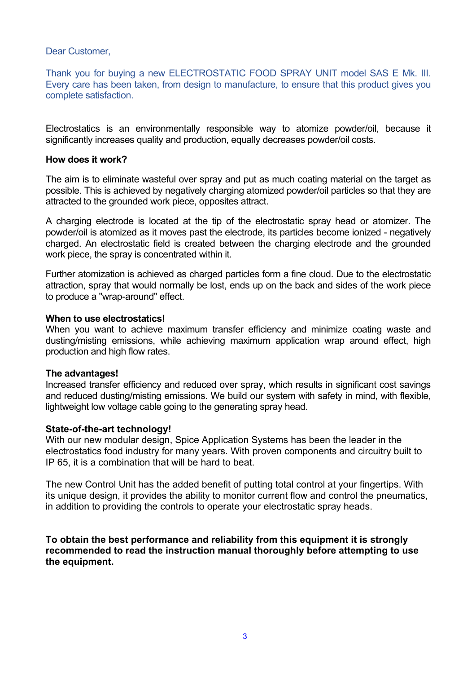Dear Customer,

Thank you for buying a new ELECTROSTATIC FOOD SPRAY UNIT model SAS E Mk. III. Every care has been taken, from design to manufacture, to ensure that this product gives you complete satisfaction.

Electrostatics is an environmentally responsible way to atomize powder/oil, because it significantly increases quality and production, equally decreases powder/oil costs.

#### **How does it work?**

The aim is to eliminate wasteful over spray and put as much coating material on the target as possible. This is achieved by negatively charging atomized powder/oil particles so that they are attracted to the grounded work piece, opposites attract.

A charging electrode is located at the tip of the electrostatic spray head or atomizer. The powder/oil is atomized as it moves past the electrode, its particles become ionized - negatively charged. An electrostatic field is created between the charging electrode and the grounded work piece, the spray is concentrated within it.

Further atomization is achieved as charged particles form a fine cloud. Due to the electrostatic attraction, spray that would normally be lost, ends up on the back and sides of the work piece to produce a "wrap-around" effect.

#### **When to use electrostatics!**

When you want to achieve maximum transfer efficiency and minimize coating waste and dusting/misting emissions, while achieving maximum application wrap around effect, high production and high flow rates.

#### **The advantages!**

Increased transfer efficiency and reduced over spray, which results in significant cost savings and reduced dusting/misting emissions. We build our system with safety in mind, with flexible, lightweight low voltage cable going to the generating spray head.

#### **State-of-the-art technology!**

With our new modular design, Spice Application Systems has been the leader in the electrostatics food industry for many years. With proven components and circuitry built to IP 65, it is a combination that will be hard to beat.

The new Control Unit has the added benefit of putting total control at your fingertips. With its unique design, it provides the ability to monitor current flow and control the pneumatics, in addition to providing the controls to operate your electrostatic spray heads.

**To obtain the best performance and reliability from this equipment it is strongly recommended to read the instruction manual thoroughly before attempting to use the equipment.**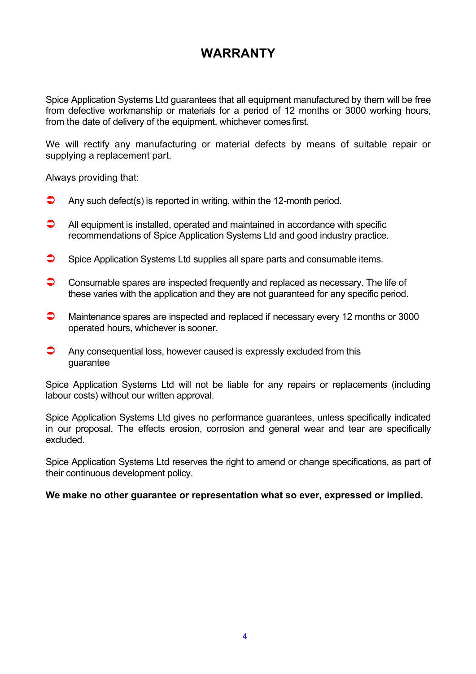### **WARRANTY**

Spice Application Systems Ltd guarantees that all equipment manufactured by them will be free from defective workmanship or materials for a period of 12 months or 3000 working hours, from the date of delivery of the equipment, whichever comes first.

We will rectify any manufacturing or material defects by means of suitable repair or supplying a replacement part.

Always providing that:

- $\bullet$  Any such defect(s) is reported in writing, within the 12-month period.
- $\bullet$  All equipment is installed, operated and maintained in accordance with specific recommendations of Spice Application Systems Ltd and good industry practice.
- $\bullet$  Spice Application Systems Ltd supplies all spare parts and consumable items.
- $\bullet$  Consumable spares are inspected frequently and replaced as necessary. The life of these varies with the application and they are not guaranteed for any specific period.
- $\bullet$  Maintenance spares are inspected and replaced if necessary every 12 months or 3000 operated hours, whichever is sooner.
- $\bullet$  Any consequential loss, however caused is expressly excluded from this guarantee

Spice Application Systems Ltd will not be liable for any repairs or replacements (including labour costs) without our written approval.

Spice Application Systems Ltd gives no performance guarantees, unless specifically indicated in our proposal. The effects erosion, corrosion and general wear and tear are specifically excluded.

Spice Application Systems Ltd reserves the right to amend or change specifications, as part of their continuous development policy.

#### **We make no other guarantee or representation what so ever, expressed or implied.**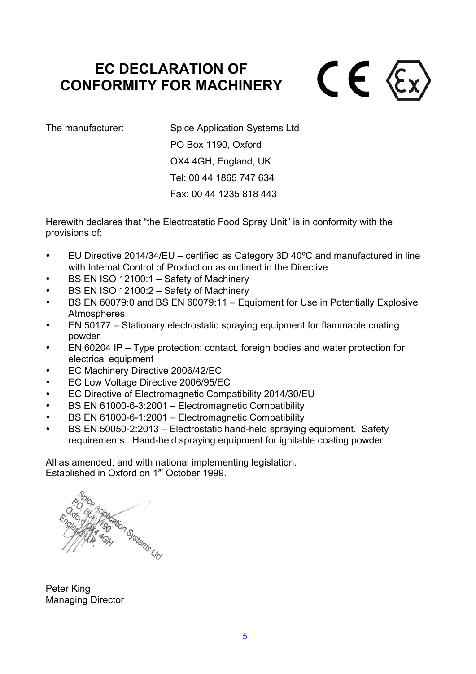# **EC DECLARATION OF CONFORMITY FOR MACHINERY**



The manufacturer: Spice Application Systems Ltd PO Box 1190, Oxford OX4 4GH, England, UK Tel: 00 44 1865 747 634 Fax: 00 44 1235 818 443

Herewith declares that "the Electrostatic Food Spray Unit" is in conformity with the provisions of:

- EU Directive 2014/34/EU certified as Category 3D 40°C and manufactured in line with Internal Control of Production as outlined in the Directive
- BS EN ISO 12100:1 Safety of Machinery
- BS EN ISO 12100:2 Safety of Machinery
- BS EN 60079:0 and BS EN 60079:11 Equipment for Use in Potentially Explosive **Atmospheres**
- EN 50177 Stationary electrostatic spraying equipment for flammable coating powder
- EN 60204 IP Type protection: contact, foreign bodies and water protection for electrical equipment
- EC Machinery Directive 2006/42/EC
- EC Low Voltage Directive 2006/95/EC
- EC Directive of Electromagnetic Compatibility 2014/30/EU
- BS EN 61000-6-3:2001 Electromagnetic Compatibility
- BS EN 61000-6-1:2001 Electromagnetic Compatibility
- BS EN 50050-2:2013 Electrostatic hand-held spraying equipment. Safety requirements. Hand-held spraying equipment for ignitable coating powder

All as amended, and with national implementing legislation. Established in Oxford on 1<sup>st</sup> October 1999.

blication Systems Ltd

Peter King Managing Director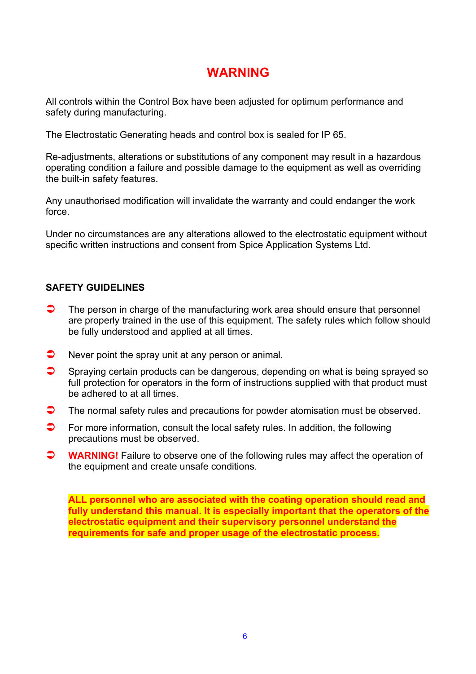### **WARNING**

All controls within the Control Box have been adjusted for optimum performance and safety during manufacturing.

The Electrostatic Generating heads and control box is sealed for IP 65.

Re-adjustments, alterations or substitutions of any component may result in a hazardous operating condition a failure and possible damage to the equipment as well as overriding the built-in safety features.

Any unauthorised modification will invalidate the warranty and could endanger the work force.

Under no circumstances are any alterations allowed to the electrostatic equipment without specific written instructions and consent from Spice Application Systems Ltd.

#### **SAFETY GUIDELINES**

- $\Box$  The person in charge of the manufacturing work area should ensure that personnel are properly trained in the use of this equipment. The safety rules which follow should be fully understood and applied at all times.
- $\bullet$  Never point the spray unit at any person or animal.
- $\bullet$  Spraying certain products can be dangerous, depending on what is being sprayed so full protection for operators in the form of instructions supplied with that product must be adhered to at all times.
- $\bullet$  The normal safety rules and precautions for powder atomisation must be observed.
- $\bullet$  For more information, consult the local safety rules. In addition, the following precautions must be observed.
- **WARNING!** Failure to observe one of the following rules may affect the operation of the equipment and create unsafe conditions.

**ALL personnel who are associated with the coating operation should read and fully understand this manual. It is especially important that the operators of the electrostatic equipment and their supervisory personnel understand the requirements for safe and proper usage of the electrostatic process.**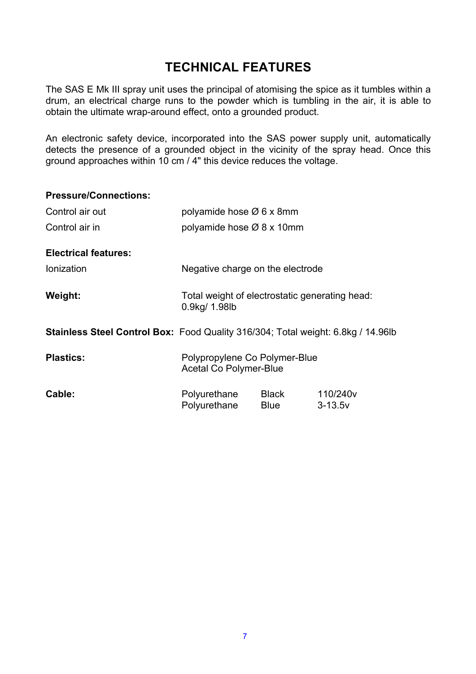### **TECHNICAL FEATURES**

The SAS E Mk III spray unit uses the principal of atomising the spice as it tumbles within a drum, an electrical charge runs to the powder which is tumbling in the air, it is able to obtain the ultimate wrap-around effect, onto a grounded product.

An electronic safety device, incorporated into the SAS power supply unit, automatically detects the presence of a grounded object in the vicinity of the spray head. Once this ground approaches within 10 cm / 4" this device reduces the voltage.

| <b>Pressure/Connections:</b>                                                            |                                                                 |               |                                     |
|-----------------------------------------------------------------------------------------|-----------------------------------------------------------------|---------------|-------------------------------------|
| Control air out                                                                         | polyamide hose $\varnothing$ 6 x 8mm                            |               |                                     |
| Control air in                                                                          | polyamide hose Ø 8 x 10mm                                       |               |                                     |
| <b>Electrical features:</b>                                                             |                                                                 |               |                                     |
| <b>Ionization</b>                                                                       | Negative charge on the electrode                                |               |                                     |
| Weight:                                                                                 | Total weight of electrostatic generating head:<br>0.9kg/ 1.98lb |               |                                     |
| <b>Stainless Steel Control Box:</b> Food Quality 316/304; Total weight: 6.8kg / 14.96lb |                                                                 |               |                                     |
| <b>Plastics:</b>                                                                        | Polypropylene Co Polymer-Blue<br><b>Acetal Co Polymer-Blue</b>  |               |                                     |
| Cable:                                                                                  | Polyurethane<br>Polyurethane                                    | Black<br>Blue | 110/240 <sub>V</sub><br>$3 - 13.5v$ |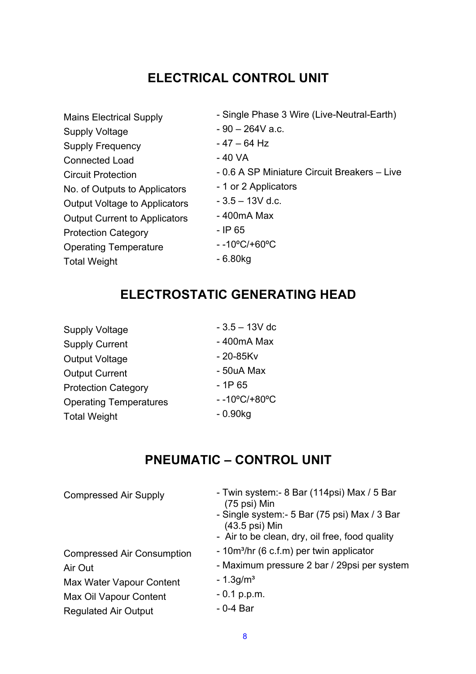## **ELECTRICAL CONTROL UNIT**

| - Single Phase 3 Wire (Live-Neutral-Earth)   |
|----------------------------------------------|
| $-90 - 264V$ a.c.                            |
| $-47 - 64$ Hz                                |
| - 40 VA                                      |
| - 0.6 A SP Miniature Circuit Breakers - Live |
| - 1 or 2 Applicators                         |
| $-3.5 - 13V$ d.c.                            |
| - 400mA Max                                  |
| - IP 65                                      |
| $-10^{\circ}$ C/+60 $^{\circ}$ C             |
| - 6.80kg                                     |
|                                              |

### **ELECTROSTATIC GENERATING HEAD**

| <b>Supply Voltage</b>         | $-3.5 - 13V$ dc                  |
|-------------------------------|----------------------------------|
| <b>Supply Current</b>         | - 400mA Max                      |
| <b>Output Voltage</b>         | $-20 - 85Kv$                     |
| <b>Output Current</b>         | - 50uA Max                       |
| <b>Protection Category</b>    | $-1P65$                          |
| <b>Operating Temperatures</b> | $-10^{\circ}$ C/+80 $^{\circ}$ C |
| <b>Total Weight</b>           | $-0.90kq$                        |

### **PNEUMATIC – CONTROL UNIT**

| <b>Compressed Air Supply</b>      | - Twin system: - 8 Bar (114psi) Max / 5 Bar<br>$(75 \text{ psi})$ Min     |
|-----------------------------------|---------------------------------------------------------------------------|
|                                   | - Single system: - 5 Bar (75 psi) Max / 3 Bar<br>$(43.5 \text{ psi})$ Min |
|                                   | - Air to be clean, dry, oil free, food quality                            |
| <b>Compressed Air Consumption</b> | - 10m <sup>3</sup> /hr (6 c.f.m) per twin applicator                      |
| Air Out                           | - Maximum pressure 2 bar / 29psi per system                               |
| Max Water Vapour Content          | $-1.3$ g/m <sup>3</sup>                                                   |
| Max Oil Vapour Content            | $-0.1$ p.p.m.                                                             |
| <b>Regulated Air Output</b>       | $-0-4$ Bar                                                                |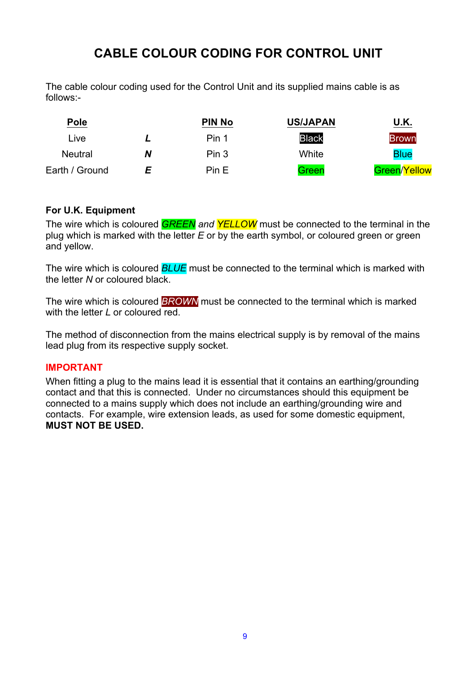### **CABLE COLOUR CODING FOR CONTROL UNIT**

The cable colour coding used for the Control Unit and its supplied mains cable is as follows:-

| <b>Pole</b>    |   | <b>PIN No</b> | <b>US/JAPAN</b> | U.K.         |
|----------------|---|---------------|-----------------|--------------|
| Live           |   | Pin 1         | <b>Black</b>    | <b>Brown</b> |
| <b>Neutral</b> | Ν | Pin 3         | White           | <b>Blue</b>  |
| Earth / Ground | F | Pin E         | Green           | Green/Yellow |

#### **For U.K. Equipment**

The wire which is coloured *GREEN and YELLOW* must be connected to the terminal in the plug which is marked with the letter *E* or by the earth symbol, or coloured green or green and yellow.

The wire which is coloured *BLUE* must be connected to the terminal which is marked with the letter *N* or coloured black.

The wire which is coloured *BROWN* must be connected to the terminal which is marked with the letter *L* or coloured red.

The method of disconnection from the mains electrical supply is by removal of the mains lead plug from its respective supply socket.

#### **IMPORTANT**

When fitting a plug to the mains lead it is essential that it contains an earthing/grounding contact and that this is connected. Under no circumstances should this equipment be connected to a mains supply which does not include an earthing/grounding wire and contacts. For example, wire extension leads, as used for some domestic equipment, **MUST NOT BE USED.**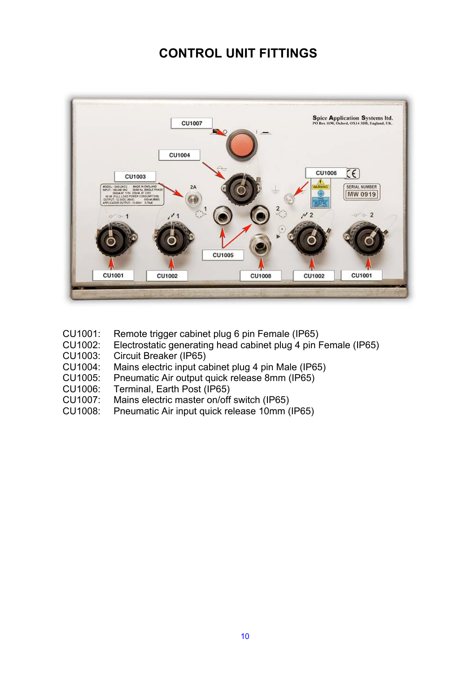### **CONTROL UNIT FITTINGS**



- CU1001: Remote trigger cabinet plug 6 pin Female (IP65)
- CU1002: Electrostatic generating head cabinet plug 4 pin Female (IP65)
- CU1003: Circuit Breaker (IP65)
- CU1004: Mains electric input cabinet plug 4 pin Male (IP65)
- CU1005: Pneumatic Air output quick release 8mm (IP65)
- CU1006: Terminal, Earth Post (IP65)<br>CU1007: Mains electric master on/off
- Mains electric master on/off switch (IP65)
- CU1008: Pneumatic Air input quick release 10mm (IP65)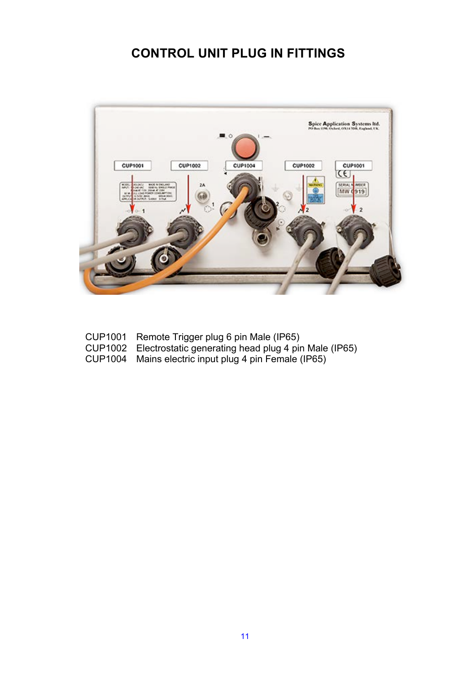### **CONTROL UNIT PLUG IN FITTINGS**



- CUP1001 Remote Trigger plug 6 pin Male (IP65)
- CUP1002 Electrostatic generating head plug 4 pin Male (IP65)
- CUP1004 Mains electric input plug 4 pin Female (IP65)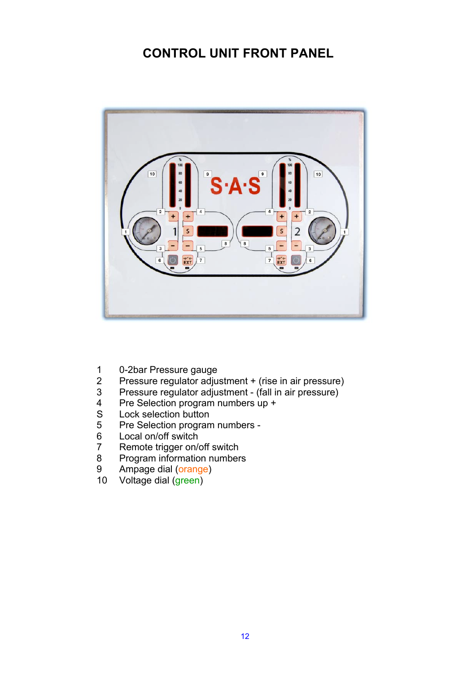### **CONTROL UNIT FRONT PANEL**



- 1 0-2bar Pressure gauge<br>2 Pressure regulator adiu
- 2 Pressure regulator adjustment + (rise in air pressure)<br>3 Pressure regulator adjustment (fall in air pressure)
- 3 Pressure regulator adjustment (fall in air pressure)
- 4 Pre Selection program numbers up +
- S Lock selection button<br>5 Pre Selection program
- 5 Pre Selection program numbers -<br>6 Local on/off switch
- 6 Local on/off switch<br>7 Remote trigger on/
- Remote trigger on/off switch
- 8 Program information numbers<br>9 Ampage dial (orange)
- 9 Ampage dial (orange)<br>10 Voltage dial (green)
- Voltage dial (green)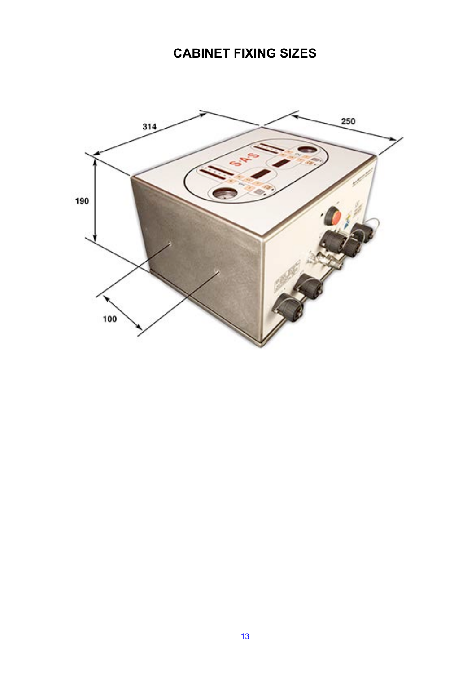## **CABINET FIXING SIZES**

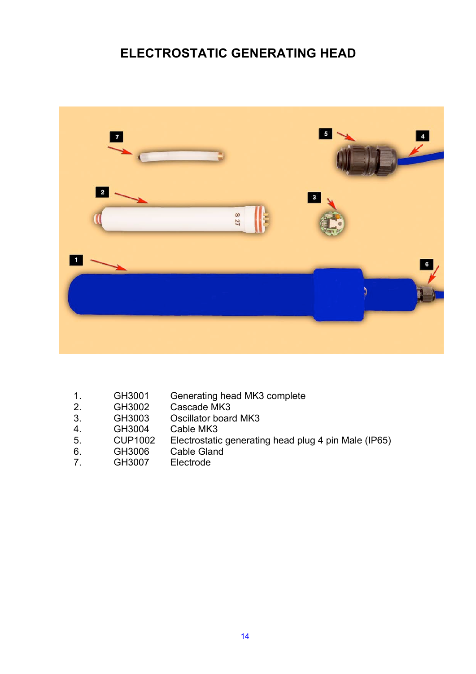### **ELECTROSTATIC GENERATING HEAD**



- 1. GH3001 Generating head MK3 complete<br>2. GH3002 Cascade MK3
- 2. GH3002 Cascade MK3<br>3. GH3003 Oscillator board
- GH3003 Oscillator board MK3<br>GH3004 Cable MK3
- 4. GH3004 Cable MK3<br>5. CUP1002 Electrostation
- 5. CUP1002 Electrostatic generating head plug 4 pin Male (IP65)
- 6. GH3006 Cable Gland<br>7. GH3007 Electrode
- Electrode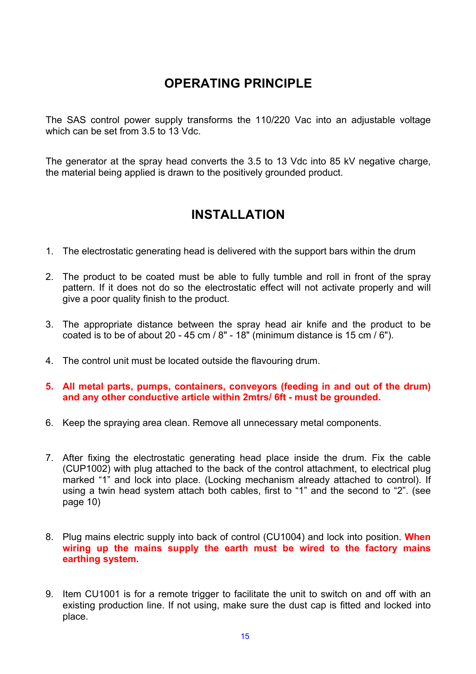### **OPERATING PRINCIPLE**

The SAS control power supply transforms the 110/220 Vac into an adjustable voltage which can be set from 3.5 to 13 Vdc.

The generator at the spray head converts the 3.5 to 13 Vdc into 85 kV negative charge, the material being applied is drawn to the positively grounded product.

### **INSTALLATION**

- 1. The electrostatic generating head is delivered with the support bars within the drum
- 2. The product to be coated must be able to fully tumble and roll in front of the spray pattern. If it does not do so the electrostatic effect will not activate properly and will give a poor quality finish to the product.
- 3. The appropriate distance between the spray head air knife and the product to be coated is to be of about 20 - 45 cm / 8" - 18" (minimum distance is 15 cm / 6").
- 4. The control unit must be located outside the flavouring drum.
- **5. All metal parts, pumps, containers, conveyors (feeding in and out of the drum) and any other conductive article within 2mtrs/ 6ft - must be grounded.**
- 6. Keep the spraying area clean. Remove all unnecessary metal components.
- 7. After fixing the electrostatic generating head place inside the drum. Fix the cable (CUP1002) with plug attached to the back of the control attachment, to electrical plug marked "1" and lock into place. (Locking mechanism already attached to control). If using a twin head system attach both cables, first to "1" and the second to "2". (see page 10)
- 8. Plug mains electric supply into back of control (CU1004) and lock into position. **When wiring up the mains supply the earth must be wired to the factory mains earthing system.**
- 9. Item CU1001 is for a remote trigger to facilitate the unit to switch on and off with an existing production line. If not using, make sure the dust cap is fitted and locked into place.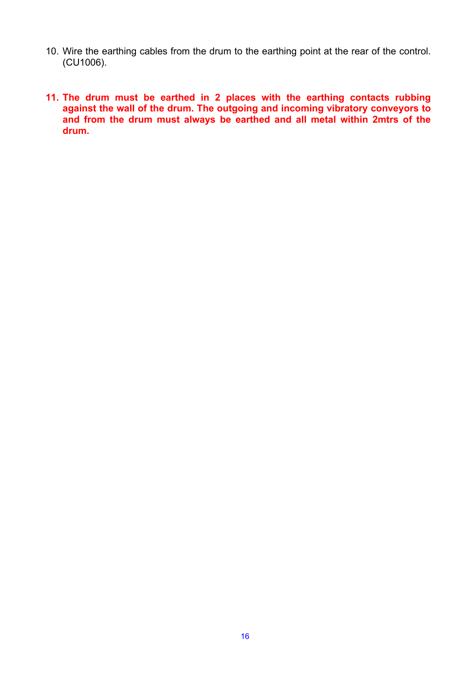- 10. Wire the earthing cables from the drum to the earthing point at the rear of the control. (CU1006).
- **11. The drum must be earthed in 2 places with the earthing contacts rubbing against the wall of the drum. The outgoing and incoming vibratory conveyors to and from the drum must always be earthed and all metal within 2mtrs of the drum.**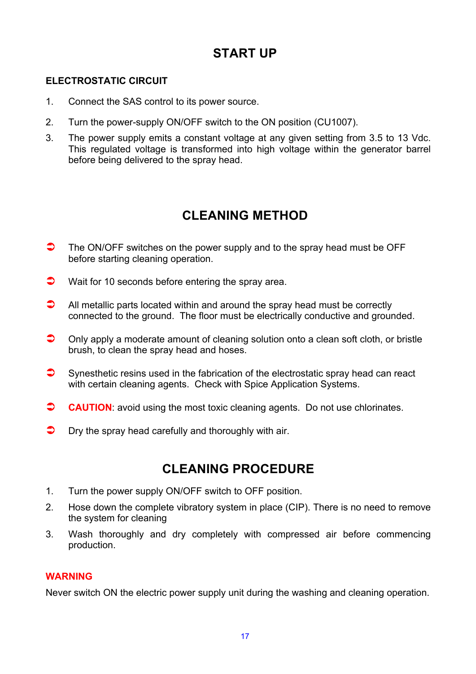### **START UP**

#### **ELECTROSTATIC CIRCUIT**

- 1. Connect the SAS control to its power source.
- 2. Turn the power-supply ON/OFF switch to the ON position (CU1007).
- 3. The power supply emits a constant voltage at any given setting from 3.5 to 13 Vdc. This regulated voltage is transformed into high voltage within the generator barrel before being delivered to the spray head.

### **CLEANING METHOD**

- $\bullet$  The ON/OFF switches on the power supply and to the spray head must be OFF before starting cleaning operation.
- $\bullet$  Wait for 10 seconds before entering the spray area.
- $\Box$  All metallic parts located within and around the spray head must be correctly connected to the ground. The floor must be electrically conductive and grounded.
- $\bullet$  Only apply a moderate amount of cleaning solution onto a clean soft cloth, or bristle brush, to clean the spray head and hoses.
- $\bullet$  Synesthetic resins used in the fabrication of the electrostatic spray head can react with certain cleaning agents. Check with Spice Application Systems.
- **CAUTION:** avoid using the most toxic cleaning agents. Do not use chlorinates.
- $\bullet$  Dry the spray head carefully and thoroughly with air.

### **CLEANING PROCEDURE**

- 1. Turn the power supply ON/OFF switch to OFF position.
- 2. Hose down the complete vibratory system in place (CIP). There is no need to remove the system for cleaning
- 3. Wash thoroughly and dry completely with compressed air before commencing production.

#### **WARNING**

Never switch ON the electric power supply unit during the washing and cleaning operation.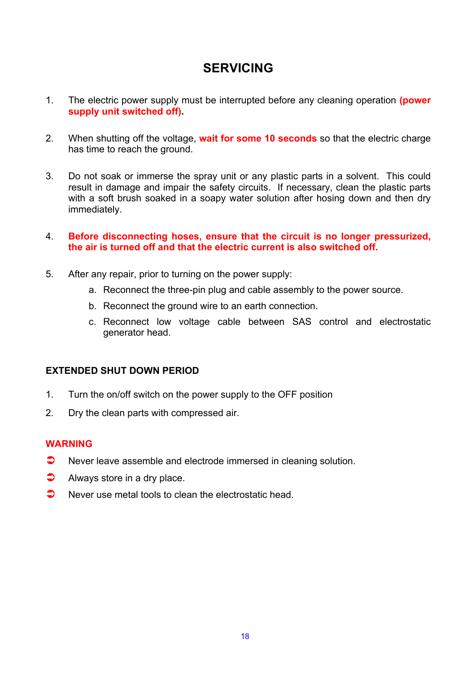### **SERVICING**

- 1. The electric power supply must be interrupted before any cleaning operation **(power supply unit switched off).**
- 2. When shutting off the voltage, **wait for some 10 seconds** so that the electric charge has time to reach the ground.
- 3. Do not soak or immerse the spray unit or any plastic parts in a solvent. This could result in damage and impair the safety circuits. If necessary, clean the plastic parts with a soft brush soaked in a soapy water solution after hosing down and then dry immediately.
- 4. **Before disconnecting hoses, ensure that the circuit is no longer pressurized, the air is turned off and that the electric current is also switched off.**
- 5. After any repair, prior to turning on the power supply:
	- a. Reconnect the three-pin plug and cable assembly to the power source.
	- b. Reconnect the ground wire to an earth connection.
	- c. Reconnect low voltage cable between SAS control and electrostatic generator head.

#### **EXTENDED SHUT DOWN PERIOD**

- 1. Turn the on/off switch on the power supply to the OFF position
- 2. Dry the clean parts with compressed air.

#### **WARNING**

- $\bullet$  Never leave assemble and electrode immersed in cleaning solution.
- $\bullet$  Always store in a dry place.
- $\bullet$  Never use metal tools to clean the electrostatic head.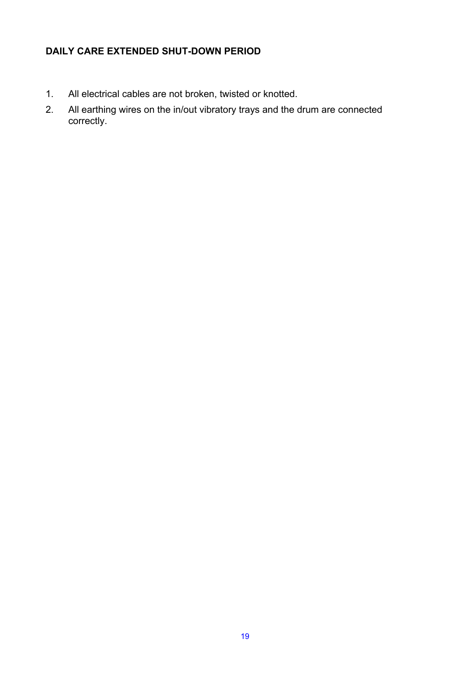#### **DAILY CARE EXTENDED SHUT-DOWN PERIOD**

- 1. All electrical cables are not broken, twisted or knotted.
- 2. All earthing wires on the in/out vibratory trays and the drum are connected correctly.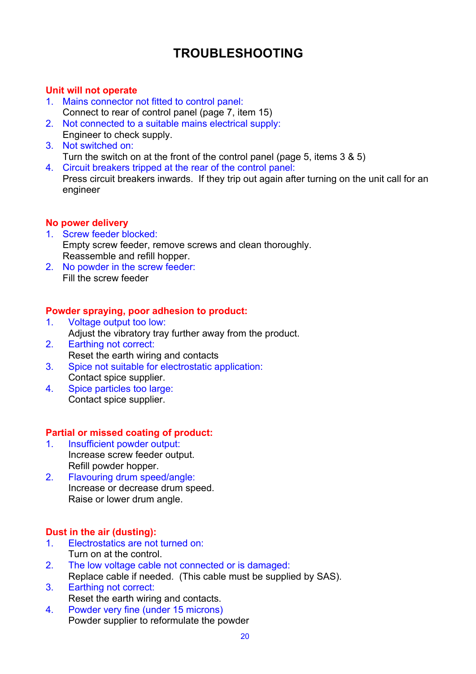## **TROUBLESHOOTING**

#### **Unit will not operate**

- 1. Mains connector not fitted to control panel: Connect to rear of control panel (page 7, item 15)
- 2. Not connected to a suitable mains electrical supply: Engineer to check supply.
- 3. Not switched on:
	- Turn the switch on at the front of the control panel (page 5, items 3 & 5)
- 4. Circuit breakers tripped at the rear of the control panel: Press circuit breakers inwards. If they trip out again after turning on the unit call for an engineer

#### **No power delivery**

- 1. Screw feeder blocked: Empty screw feeder, remove screws and clean thoroughly. Reassemble and refill hopper.
- 2. No powder in the screw feeder: Fill the screw feeder

#### **Powder spraying, poor adhesion to product:**

- 1. Voltage output too low: Adjust the vibratory tray further away from the product. 2. Earthing not correct:
- Reset the earth wiring and contacts
- 3. Spice not suitable for electrostatic application: Contact spice supplier.
- 4. Spice particles too large: Contact spice supplier.

#### **Partial or missed coating of product:**

- 1. Insufficient powder output: Increase screw feeder output. Refill powder hopper.
- 2. Flavouring drum speed/angle: Increase or decrease drum speed. Raise or lower drum angle.

#### **Dust in the air (dusting):**

- 1. Electrostatics are not turned on: Turn on at the control.
- 2. The low voltage cable not connected or is damaged: Replace cable if needed. (This cable must be supplied by SAS).
- 3. Earthing not correct: Reset the earth wiring and contacts.
- 4. Powder very fine (under 15 microns) Powder supplier to reformulate the powder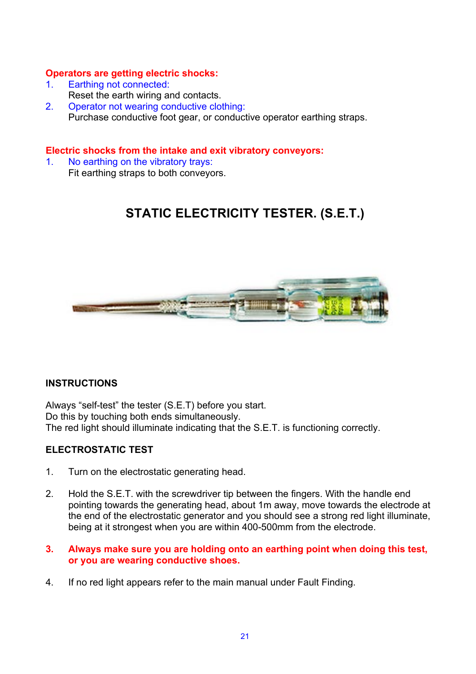#### **Operators are getting electric shocks:**

- 1. Earthing not connected:
- Reset the earth wiring and contacts.
- 2. Operator not wearing conductive clothing: Purchase conductive foot gear, or conductive operator earthing straps.

#### **Electric shocks from the intake and exit vibratory conveyors:**

1. No earthing on the vibratory trays: Fit earthing straps to both conveyors.

### **STATIC ELECTRICITY TESTER. (S.E.T.)**



#### **INSTRUCTIONS**

Always "self-test" the tester (S.E.T) before you start. Do this by touching both ends simultaneously. The red light should illuminate indicating that the S.E.T. is functioning correctly.

#### **ELECTROSTATIC TEST**

- 1. Turn on the electrostatic generating head.
- 2. Hold the S.E.T. with the screwdriver tip between the fingers. With the handle end pointing towards the generating head, about 1m away, move towards the electrode at the end of the electrostatic generator and you should see a strong red light illuminate, being at it strongest when you are within 400-500mm from the electrode.
- **3. Always make sure you are holding onto an earthing point when doing this test, or you are wearing conductive shoes.**
- 4. If no red light appears refer to the main manual under Fault Finding.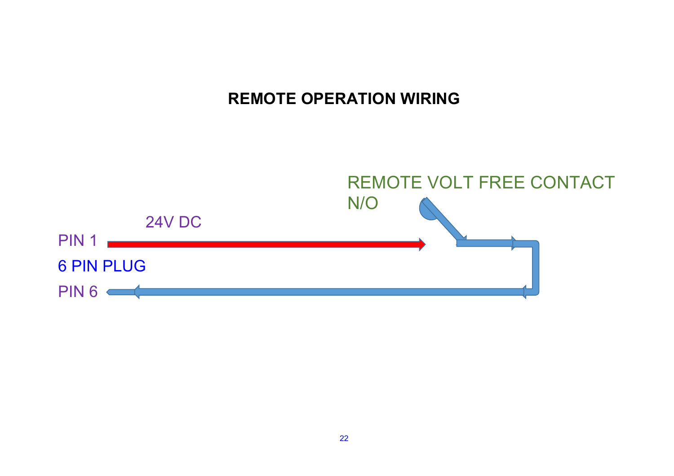# **REMOTE OPERATION WIRING**